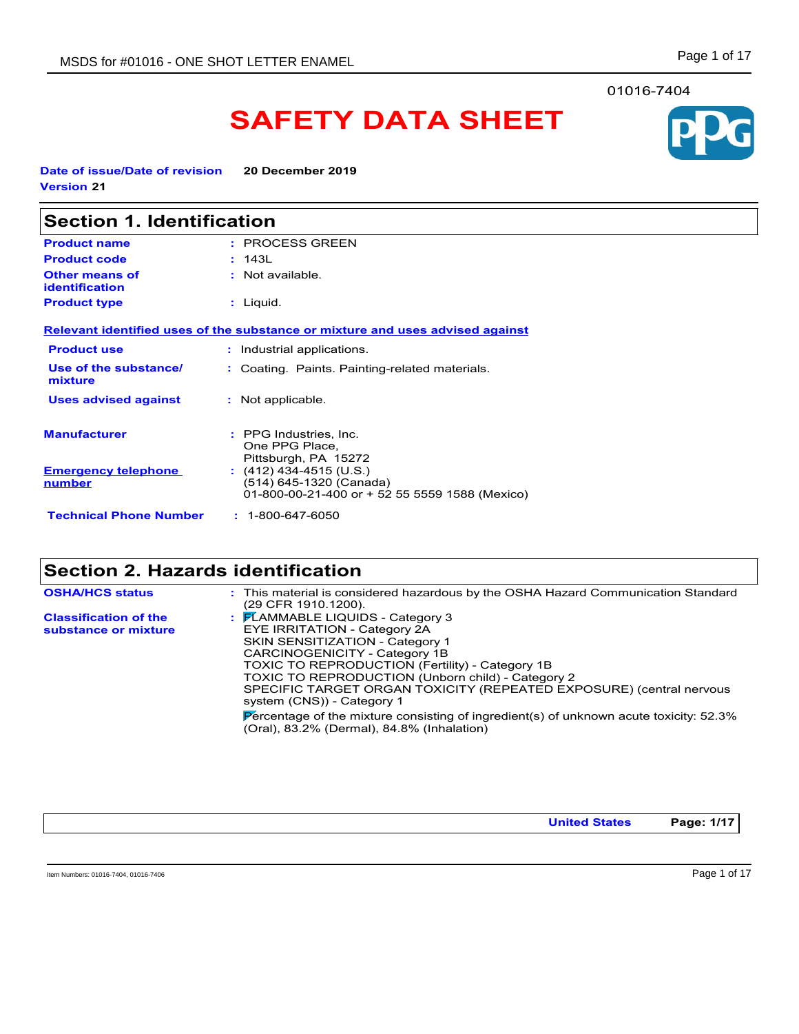#### 01016-7404

# **SAFETY DATA SHEET**

**Date of issue/Date of revision 20 December 2019 Version 21**

| <b>Section 1. Identification</b>               |                                                                                                      |
|------------------------------------------------|------------------------------------------------------------------------------------------------------|
| <b>Product name</b>                            | : PROCESS GREEN                                                                                      |
| <b>Product code</b>                            | : 143L                                                                                               |
| <b>Other means of</b><br><b>identification</b> | : Not available.                                                                                     |
| <b>Product type</b>                            | : Liquid.                                                                                            |
|                                                | Relevant identified uses of the substance or mixture and uses advised against                        |
| <b>Product use</b>                             | : Industrial applications.                                                                           |
| Use of the substance/<br>mixture               | : Coating. Paints. Painting-related materials.                                                       |
| <b>Uses advised against</b>                    | : Not applicable.                                                                                    |
| <b>Manufacturer</b>                            | : PPG Industries, Inc.<br>One PPG Place,<br>Pittsburgh, PA 15272                                     |
| <b>Emergency telephone</b><br>number           | $(412)$ 434-4515 (U.S.)<br>(514) 645-1320 (Canada)<br>01-800-00-21-400 or + 52 55 5559 1588 (Mexico) |
| <b>Technical Phone Number</b>                  | $: 1 - 800 - 647 - 6050$                                                                             |

## **Section 2. Hazards identification**

| <b>OSHA/HCS status</b>                               | : This material is considered hazardous by the OSHA Hazard Communication Standard<br>(29 CFR 1910 1200).                                                                                                                                                                                                                                                                                                                                                                                                   |
|------------------------------------------------------|------------------------------------------------------------------------------------------------------------------------------------------------------------------------------------------------------------------------------------------------------------------------------------------------------------------------------------------------------------------------------------------------------------------------------------------------------------------------------------------------------------|
| <b>Classification of the</b><br>substance or mixture | : FLAMMABLE LIQUIDS - Category 3<br>EYE IRRITATION - Category 2A<br><b>SKIN SENSITIZATION - Category 1</b><br>CARCINOGENICITY - Category 1B<br><b>TOXIC TO REPRODUCTION (Fertility) - Category 1B</b><br>TOXIC TO REPRODUCTION (Unborn child) - Category 2<br>SPECIFIC TARGET ORGAN TOXICITY (REPEATED EXPOSURE) (central nervous<br>system (CNS)) - Category 1<br>Percentage of the mixture consisting of ingredient(s) of unknown acute toxicity: $52.3\%$<br>(Oral), 83.2% (Dermal), 84.8% (Inhalation) |

**United States Page: 1/17**

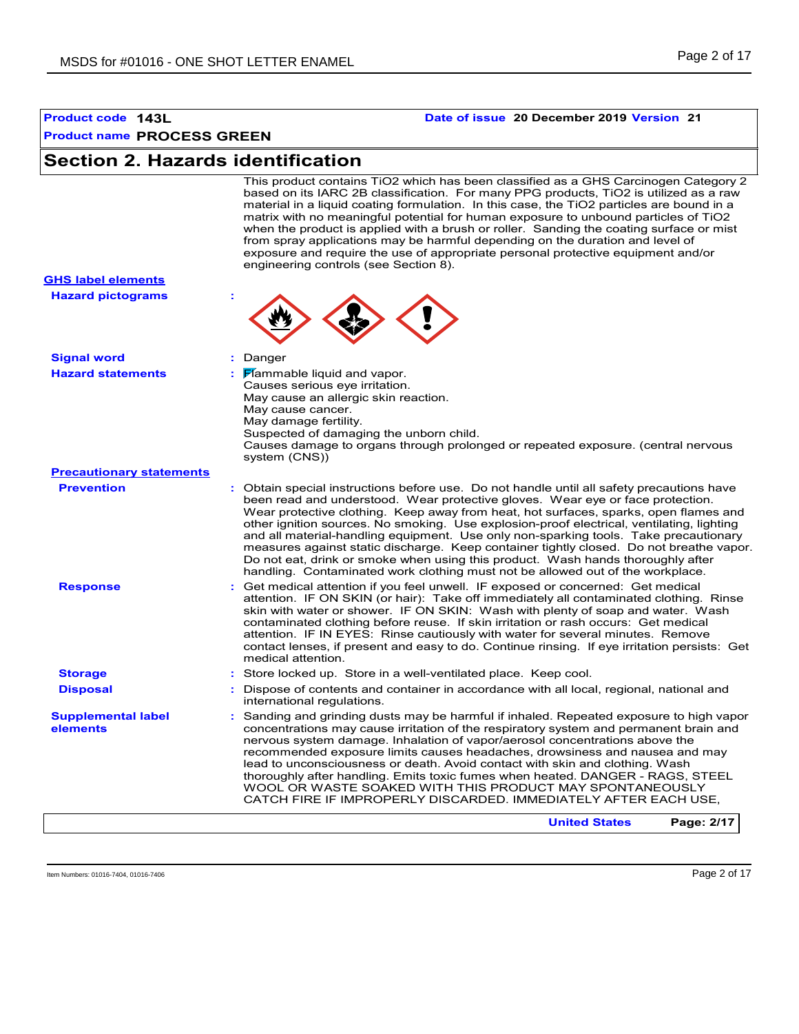#### **Product code 143L Date of issue 20 December 2019 Version 21**

## **Section 2. Hazards identification**

This product contains TiO2 which has been classified as a GHS Carcinogen Category 2 based on its IARC 2B classification. For many PPG products, TiO2 is utilized as a raw material in a liquid coating formulation. In this case, the TiO2 particles are bound in a matrix with no meaningful potential for human exposure to unbound particles of TiO2 when the product is applied with a brush or roller. Sanding the coating surface or mist from spray applications may be harmful depending on the duration and level of exposure and require the use of appropriate personal protective equipment and/or engineering controls (see Section 8).

|                                                       | exposure and require the use or appropriate personal protective equipment and/or<br>engineering controls (see Section 8).                                                                                                                                                                                                                                                                                                                                                                                                                                                                                                                                                                                                |
|-------------------------------------------------------|--------------------------------------------------------------------------------------------------------------------------------------------------------------------------------------------------------------------------------------------------------------------------------------------------------------------------------------------------------------------------------------------------------------------------------------------------------------------------------------------------------------------------------------------------------------------------------------------------------------------------------------------------------------------------------------------------------------------------|
| <b>GHS label elements</b><br><b>Hazard pictograms</b> |                                                                                                                                                                                                                                                                                                                                                                                                                                                                                                                                                                                                                                                                                                                          |
|                                                       |                                                                                                                                                                                                                                                                                                                                                                                                                                                                                                                                                                                                                                                                                                                          |
| <b>Signal word</b>                                    | t.<br>Danger                                                                                                                                                                                                                                                                                                                                                                                                                                                                                                                                                                                                                                                                                                             |
| <b>Hazard statements</b>                              | Mammable liquid and vapor.<br>Causes serious eye irritation.<br>May cause an allergic skin reaction.<br>May cause cancer.<br>May damage fertility.<br>Suspected of damaging the unborn child.<br>Causes damage to organs through prolonged or repeated exposure. (central nervous<br>system (CNS))                                                                                                                                                                                                                                                                                                                                                                                                                       |
| <b>Precautionary statements</b>                       |                                                                                                                                                                                                                                                                                                                                                                                                                                                                                                                                                                                                                                                                                                                          |
| <b>Prevention</b>                                     | : Obtain special instructions before use. Do not handle until all safety precautions have<br>been read and understood. Wear protective gloves. Wear eye or face protection.<br>Wear protective clothing. Keep away from heat, hot surfaces, sparks, open flames and<br>other ignition sources. No smoking. Use explosion-proof electrical, ventilating, lighting<br>and all material-handling equipment. Use only non-sparking tools. Take precautionary<br>measures against static discharge. Keep container tightly closed. Do not breathe vapor.<br>Do not eat, drink or smoke when using this product. Wash hands thoroughly after<br>handling. Contaminated work clothing must not be allowed out of the workplace. |
| <b>Response</b>                                       | : Get medical attention if you feel unwell. IF exposed or concerned: Get medical<br>attention. IF ON SKIN (or hair): Take off immediately all contaminated clothing. Rinse<br>skin with water or shower. IF ON SKIN: Wash with plenty of soap and water. Wash<br>contaminated clothing before reuse. If skin irritation or rash occurs: Get medical<br>attention. IF IN EYES: Rinse cautiously with water for several minutes. Remove<br>contact lenses, if present and easy to do. Continue rinsing. If eye irritation persists: Get<br>medical attention.                                                                                                                                                              |
| <b>Storage</b>                                        | : Store locked up. Store in a well-ventilated place. Keep cool.                                                                                                                                                                                                                                                                                                                                                                                                                                                                                                                                                                                                                                                          |
| <b>Disposal</b>                                       | : Dispose of contents and container in accordance with all local, regional, national and<br>international regulations.                                                                                                                                                                                                                                                                                                                                                                                                                                                                                                                                                                                                   |
| <b>Supplemental label</b><br>elements                 | : Sanding and grinding dusts may be harmful if inhaled. Repeated exposure to high vapor<br>concentrations may cause irritation of the respiratory system and permanent brain and<br>nervous system damage. Inhalation of vapor/aerosol concentrations above the<br>recommended exposure limits causes headaches, drowsiness and nausea and may<br>lead to unconsciousness or death. Avoid contact with skin and clothing. Wash<br>thoroughly after handling. Emits toxic fumes when heated. DANGER - RAGS, STEEL<br>WOOL OR WASTE SOAKED WITH THIS PRODUCT MAY SPONTANEOUSLY<br>CATCH FIRE IF IMPROPERLY DISCARDED. IMMEDIATELY AFTER EACH USE,                                                                          |
|                                                       | Page: 2/17<br><b>United States</b>                                                                                                                                                                                                                                                                                                                                                                                                                                                                                                                                                                                                                                                                                       |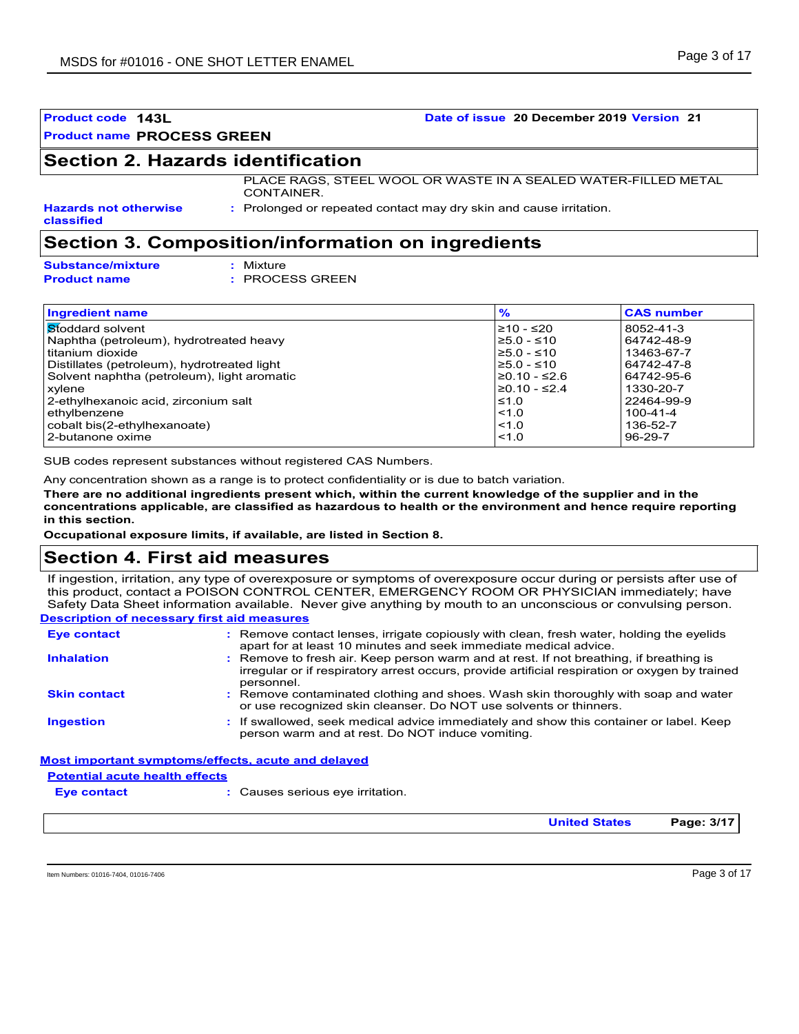#### **Product name PROCESS GREEN**

## **Section 2. Hazards identification**

PLACE RAGS, STEEL WOOL OR WASTE IN A SEALED WATER-FILLED METAL CONTAINER.

**Hazards not otherwise classified**

**:** Prolonged or repeated contact may dry skin and cause irritation.

## **Section 3. Composition/information on ingredients**

| <b>Substance/mixture</b> | : Mixt |
|--------------------------|--------|
| <b>Product name</b>      | : PRO  |

```
Mixture
: PROCESS GREEN
```

| <b>Ingredient name</b>                      | $\frac{9}{6}$      | <b>CAS number</b> |
|---------------------------------------------|--------------------|-------------------|
| <b>Stoddard solvent</b>                     | $≥10 - ≤20$        | 8052-41-3         |
| Naphtha (petroleum), hydrotreated heavy     | $≥5.0 - ≤10$       | 64742-48-9        |
| titanium dioxide                            | $≥5.0 - ≤10$       | 13463-67-7        |
| Distillates (petroleum), hydrotreated light | $≥5.0 - ≤10$       | 64742-47-8        |
| Solvent naphtha (petroleum), light aromatic | I≥0.10 - ≤2.6      | 64742-95-6        |
| xylene                                      | $\geq$ 0.10 - ≤2.4 | 1330-20-7         |
| 2-ethylhexanoic acid, zirconium salt        | $\leq 1.0$         | 22464-99-9        |
| ethylbenzene                                | < 1.0              | $100 - 41 - 4$    |
| cobalt bis(2-ethylhexanoate)                | < 1.0              | 136-52-7          |
| 2-butanone oxime                            | < 1.0              | 96-29-7           |

SUB codes represent substances without registered CAS Numbers.

Any concentration shown as a range is to protect confidentiality or is due to batch variation.

**There are no additional ingredients present which, within the current knowledge of the supplier and in the concentrations applicable, are classified as hazardous to health or the environment and hence require reporting in this section.**

**Occupational exposure limits, if available, are listed in Section 8.**

### **Section 4. First aid measures**

If ingestion, irritation, any type of overexposure or symptoms of overexposure occur during or persists after use of this product, contact a POISON CONTROL CENTER, EMERGENCY ROOM OR PHYSICIAN immediately; have Safety Data Sheet information available. Never give anything by mouth to an unconscious or convulsing person.

#### **Description of necessary first aid measures**

| <b>Eye contact</b>                    | : Remove contact lenses, irrigate copiously with clean, fresh water, holding the eyelids<br>apart for at least 10 minutes and seek immediate medical advice.                                           |
|---------------------------------------|--------------------------------------------------------------------------------------------------------------------------------------------------------------------------------------------------------|
| <b>Inhalation</b>                     | : Remove to fresh air. Keep person warm and at rest. If not breathing, if breathing is<br>irregular or if respiratory arrest occurs, provide artificial respiration or oxygen by trained<br>personnel. |
| <b>Skin contact</b>                   | : Remove contaminated clothing and shoes. Wash skin thoroughly with soap and water<br>or use recognized skin cleanser. Do NOT use solvents or thinners.                                                |
| <b>Ingestion</b>                      | : If swallowed, seek medical advice immediately and show this container or label. Keep<br>person warm and at rest. Do NOT induce vomiting.                                                             |
|                                       | Most important symptoms/effects, acute and delayed                                                                                                                                                     |
| <b>Potential acute health effects</b> |                                                                                                                                                                                                        |

**Eye contact :**

Causes serious eye irritation.

**United States Page: 3/17**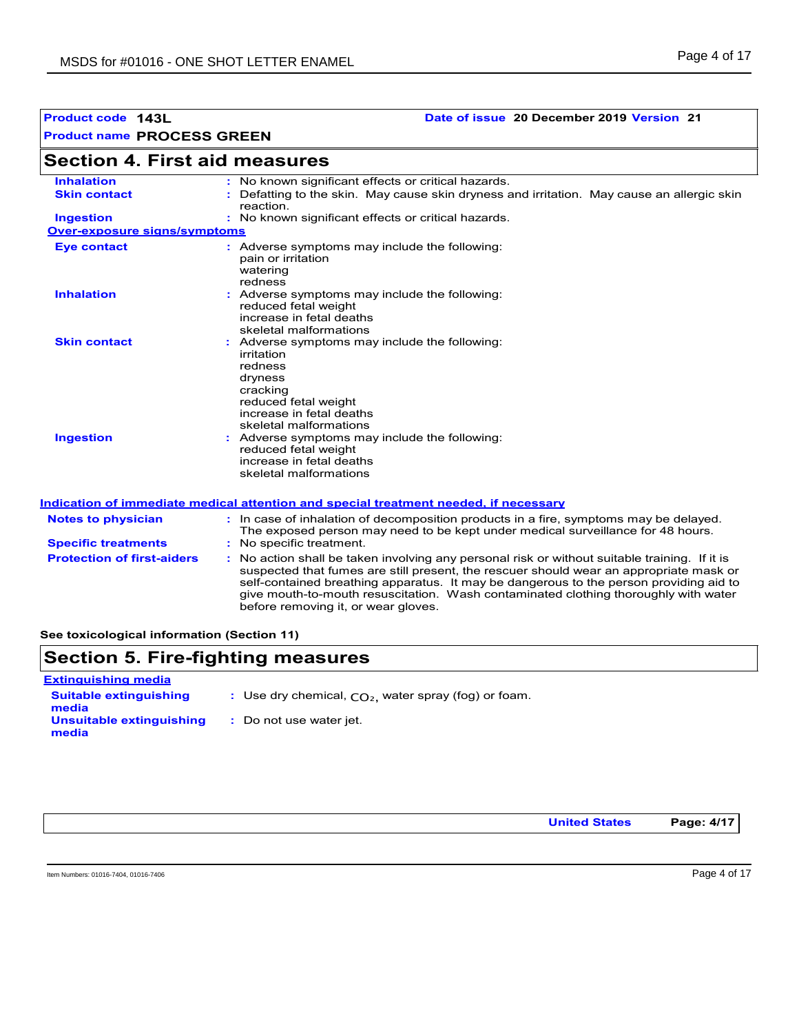## **Product code 143L Date of issue 20 December 2019 Version 21**

| Section 4. First aid measures       |                                                                                                                                                                                                                                                                                                                                                                                                                 |
|-------------------------------------|-----------------------------------------------------------------------------------------------------------------------------------------------------------------------------------------------------------------------------------------------------------------------------------------------------------------------------------------------------------------------------------------------------------------|
| <b>Inhalation</b>                   | : No known significant effects or critical hazards.                                                                                                                                                                                                                                                                                                                                                             |
| <b>Skin contact</b>                 | : Defatting to the skin. May cause skin dryness and irritation. May cause an allergic skin<br>reaction.                                                                                                                                                                                                                                                                                                         |
| <b>Ingestion</b>                    | : No known significant effects or critical hazards.                                                                                                                                                                                                                                                                                                                                                             |
| <b>Over-exposure signs/symptoms</b> |                                                                                                                                                                                                                                                                                                                                                                                                                 |
| <b>Eye contact</b>                  | : Adverse symptoms may include the following:<br>pain or irritation<br>watering<br>redness                                                                                                                                                                                                                                                                                                                      |
| <b>Inhalation</b>                   | : Adverse symptoms may include the following:<br>reduced fetal weight<br>increase in fetal deaths<br>skeletal malformations                                                                                                                                                                                                                                                                                     |
| <b>Skin contact</b>                 | : Adverse symptoms may include the following:<br>irritation<br>redness<br>dryness<br>cracking<br>reduced fetal weight<br>increase in fetal deaths<br>skeletal malformations                                                                                                                                                                                                                                     |
| <b>Ingestion</b>                    | : Adverse symptoms may include the following:<br>reduced fetal weight<br>increase in fetal deaths<br>skeletal malformations                                                                                                                                                                                                                                                                                     |
|                                     | <u>Indication of immediate medical attention and special treatment needed, if necessary</u>                                                                                                                                                                                                                                                                                                                     |
| <b>Notes to physician</b>           | : In case of inhalation of decomposition products in a fire, symptoms may be delayed.<br>The exposed person may need to be kept under medical surveillance for 48 hours.                                                                                                                                                                                                                                        |
| <b>Specific treatments</b>          | : No specific treatment.                                                                                                                                                                                                                                                                                                                                                                                        |
| <b>Protection of first-aiders</b>   | : No action shall be taken involving any personal risk or without suitable training. If it is<br>suspected that fumes are still present, the rescuer should wear an appropriate mask or<br>self-contained breathing apparatus. It may be dangerous to the person providing aid to<br>give mouth-to-mouth resuscitation. Wash contaminated clothing thoroughly with water<br>before removing it, or wear gloves. |

**See toxicological information (Section 11)**

# **Section 5. Fire-fighting measures**

| <b>Extinguishing media</b>             |                                                        |
|----------------------------------------|--------------------------------------------------------|
| <b>Suitable extinguishing</b><br>media | : Use dry chemical, $CO2$ , water spray (fog) or foam. |
| Unsuitable extinguishing<br>media      | : Do not use water jet.                                |

**United States Page: 4/17**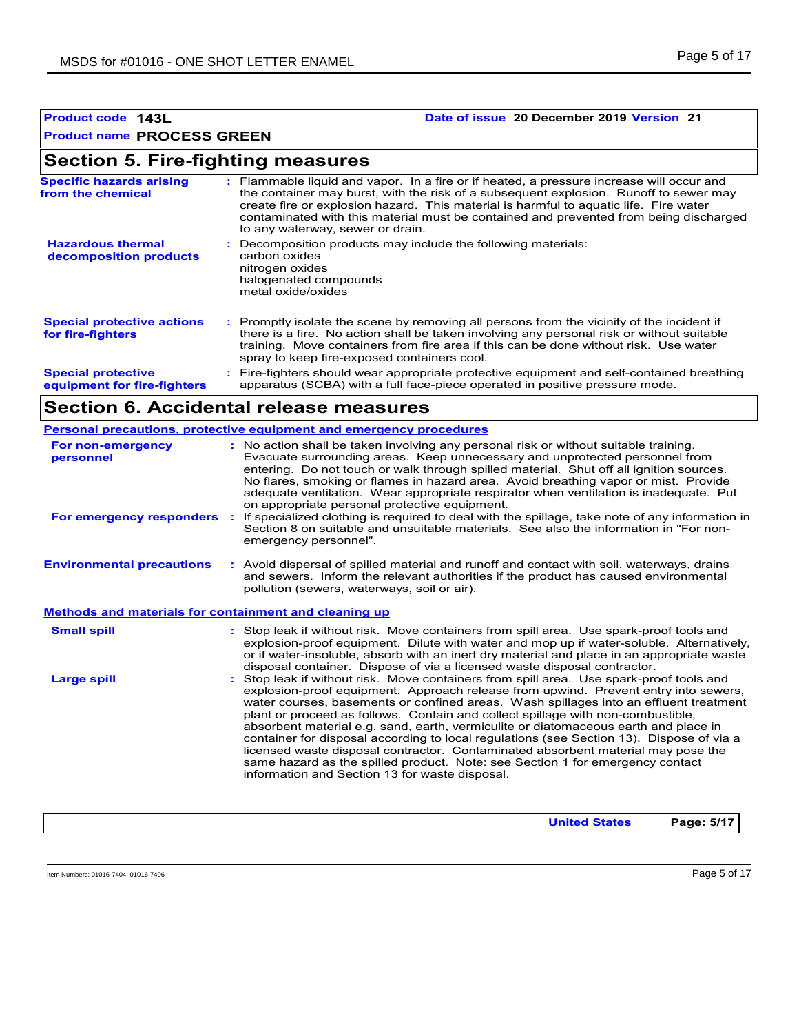#### **Product name PROCESS GREEN**

## **Section 5. Fire-fighting measures**

| <b>Specific hazards arising</b><br>from the chemical     | : Flammable liquid and vapor. In a fire or if heated, a pressure increase will occur and<br>the container may burst, with the risk of a subsequent explosion. Runoff to sewer may<br>create fire or explosion hazard. This material is harmful to aquatic life. Fire water<br>contaminated with this material must be contained and prevented from being discharged<br>to any waterway, sewer or drain. |
|----------------------------------------------------------|---------------------------------------------------------------------------------------------------------------------------------------------------------------------------------------------------------------------------------------------------------------------------------------------------------------------------------------------------------------------------------------------------------|
| <b>Hazardous thermal</b><br>decomposition products       | : Decomposition products may include the following materials:<br>carbon oxides<br>nitrogen oxides<br>halogenated compounds<br>metal oxide/oxides                                                                                                                                                                                                                                                        |
| <b>Special protective actions</b><br>for fire-fighters   | : Promptly isolate the scene by removing all persons from the vicinity of the incident if<br>there is a fire. No action shall be taken involving any personal risk or without suitable<br>training. Move containers from fire area if this can be done without risk. Use water<br>spray to keep fire-exposed containers cool.                                                                           |
| <b>Special protective</b><br>equipment for fire-fighters | : Fire-fighters should wear appropriate protective equipment and self-contained breathing<br>apparatus (SCBA) with a full face-piece operated in positive pressure mode.                                                                                                                                                                                                                                |

## **Section 6. Accidental release measures**

|                                                       | Personal precautions, protective equipment and emergency procedures                                                                                                                                                                                                                                                                                                                                                                                                                                                                                                                                                                                                                                                                                                |  |
|-------------------------------------------------------|--------------------------------------------------------------------------------------------------------------------------------------------------------------------------------------------------------------------------------------------------------------------------------------------------------------------------------------------------------------------------------------------------------------------------------------------------------------------------------------------------------------------------------------------------------------------------------------------------------------------------------------------------------------------------------------------------------------------------------------------------------------------|--|
| For non-emergency<br>personnel                        | : No action shall be taken involving any personal risk or without suitable training.<br>Evacuate surrounding areas. Keep unnecessary and unprotected personnel from<br>entering. Do not touch or walk through spilled material. Shut off all ignition sources.<br>No flares, smoking or flames in hazard area. Avoid breathing vapor or mist. Provide<br>adequate ventilation. Wear appropriate respirator when ventilation is inadequate. Put<br>on appropriate personal protective equipment.                                                                                                                                                                                                                                                                    |  |
| For emergency responders                              | If specialized clothing is required to deal with the spillage, take note of any information in<br>Section 8 on suitable and unsuitable materials. See also the information in "For non-<br>emergency personnel".                                                                                                                                                                                                                                                                                                                                                                                                                                                                                                                                                   |  |
| <b>Environmental precautions</b>                      | : Avoid dispersal of spilled material and runoff and contact with soil, waterways, drains<br>and sewers. Inform the relevant authorities if the product has caused environmental<br>pollution (sewers, waterways, soil or air).                                                                                                                                                                                                                                                                                                                                                                                                                                                                                                                                    |  |
| Methods and materials for containment and cleaning up |                                                                                                                                                                                                                                                                                                                                                                                                                                                                                                                                                                                                                                                                                                                                                                    |  |
| <b>Small spill</b>                                    | : Stop leak if without risk. Move containers from spill area. Use spark-proof tools and<br>explosion-proof equipment. Dilute with water and mop up if water-soluble. Alternatively,<br>or if water-insoluble, absorb with an inert dry material and place in an appropriate waste<br>disposal container. Dispose of via a licensed waste disposal contractor.                                                                                                                                                                                                                                                                                                                                                                                                      |  |
| <b>Large spill</b>                                    | Stop leak if without risk. Move containers from spill area. Use spark-proof tools and<br>explosion-proof equipment. Approach release from upwind. Prevent entry into sewers,<br>water courses, basements or confined areas. Wash spillages into an effluent treatment<br>plant or proceed as follows. Contain and collect spillage with non-combustible,<br>absorbent material e.g. sand, earth, vermiculite or diatomaceous earth and place in<br>container for disposal according to local regulations (see Section 13). Dispose of via a<br>licensed waste disposal contractor. Contaminated absorbent material may pose the<br>same hazard as the spilled product. Note: see Section 1 for emergency contact<br>information and Section 13 for waste disposal. |  |

| <b>United States</b> | Page: 5/17 |
|----------------------|------------|
|                      |            |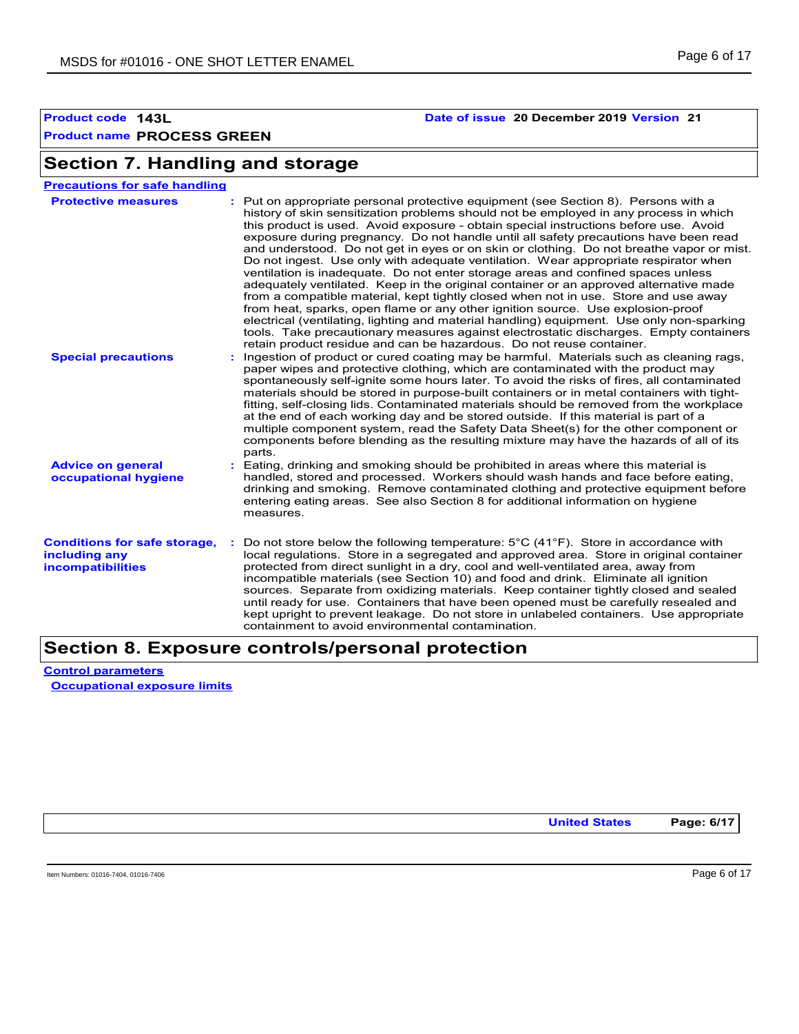**Section 7. Handling and storage**

# **Product name PROCESS GREEN**

### **Product code 143L Date of issue 20 December 2019 Version 21**

#### **Advice on general occupational hygiene Conditions for safe storage,** : Do not store below the following temperature: 5°C (41°F). Store in accordance with **including any incompatibilities** Eating, drinking and smoking should be prohibited in areas where this material is **:** handled, stored and processed. Workers should wash hands and face before eating, drinking and smoking. Remove contaminated clothing and protective equipment before entering eating areas. See also Section 8 for additional information on hygiene measures. local regulations. Store in a segregated and approved area. Store in original container protected from direct sunlight in a dry, cool and well-ventilated area, away from incompatible materials (see Section 10) and food and drink. Eliminate all ignition sources. Separate from oxidizing materials. Keep container tightly closed and sealed until ready for use. Containers that have been opened must be carefully resealed and kept upright to prevent leakage. Do not store in unlabeled containers. Use appropriate containment to avoid environmental contamination. **Protective measures** : Put on appropriate personal protective equipment (see Section 8). Persons with a **Protestion** history of skin sensitization problems should not be employed in any process in which this product is used. Avoid exposure - obtain special instructions before use. Avoid exposure during pregnancy. Do not handle until all safety precautions have been read and understood. Do not get in eyes or on skin or clothing. Do not breathe vapor or mist. Do not ingest. Use only with adequate ventilation. Wear appropriate respirator when ventilation is inadequate. Do not enter storage areas and confined spaces unless adequately ventilated. Keep in the original container or an approved alternative made from a compatible material, kept tightly closed when not in use. Store and use away from heat, sparks, open flame or any other ignition source. Use explosion-proof electrical (ventilating, lighting and material handling) equipment. Use only non-sparking tools. Take precautionary measures against electrostatic discharges. Empty containers retain product residue and can be hazardous. Do not reuse container. **Precautions for safe handling Special precautions :** Ingestion of product or cured coating may be harmful. Materials such as cleaning rags, paper wipes and protective clothing, which are contaminated with the product may spontaneously self-ignite some hours later. To avoid the risks of fires, all contaminated materials should be stored in purpose-built containers or in metal containers with tightfitting, self-closing lids. Contaminated materials should be removed from the workplace at the end of each working day and be stored outside. If this material is part of a multiple component system, read the Safety Data Sheet(s) for the other component or components before blending as the resulting mixture may have the hazards of all of its parts.

## **Section 8. Exposure controls/personal protection**

**Control parameters Occupational exposure limits**

**United States Page: 6/17**

Item Numbers: 01016-7404, 01016-7406 Page 6 of 17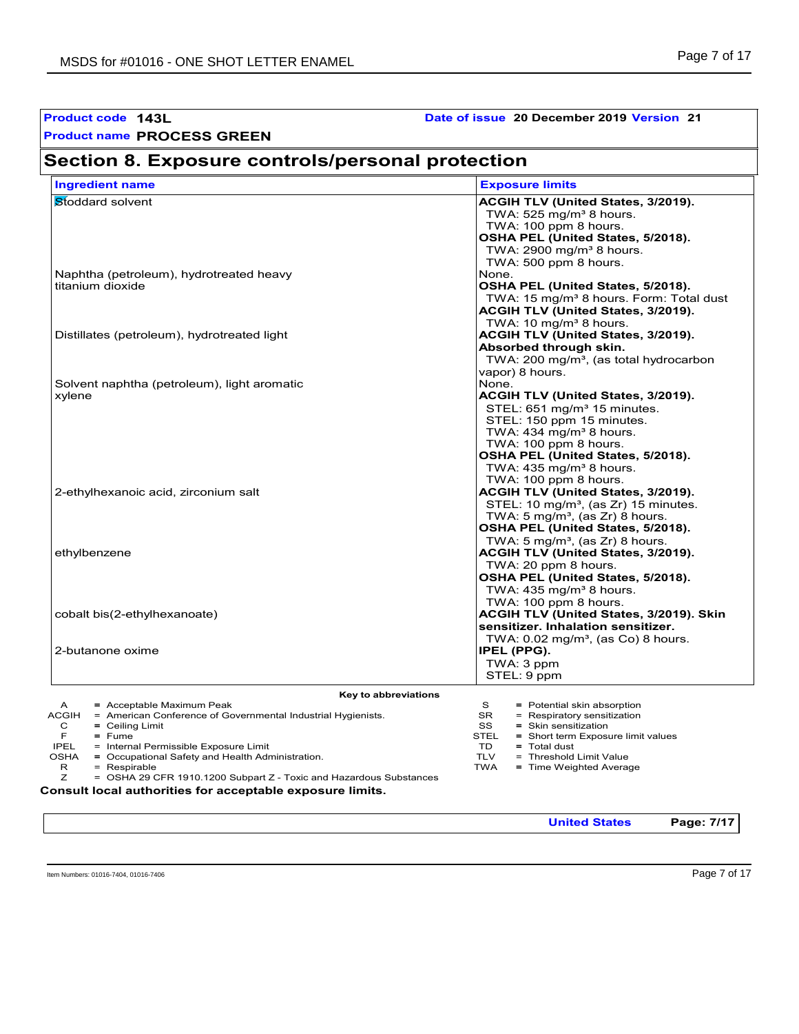| Product code 143L                                                                                                                                                                                                                                                                                                                                                                                                                            | Date of issue 20 December 2019 Version 21                                                                                                                                                                                                                                                |  |  |
|----------------------------------------------------------------------------------------------------------------------------------------------------------------------------------------------------------------------------------------------------------------------------------------------------------------------------------------------------------------------------------------------------------------------------------------------|------------------------------------------------------------------------------------------------------------------------------------------------------------------------------------------------------------------------------------------------------------------------------------------|--|--|
| <b>Product name PROCESS GREEN</b>                                                                                                                                                                                                                                                                                                                                                                                                            |                                                                                                                                                                                                                                                                                          |  |  |
| Section 8. Exposure controls/personal protection                                                                                                                                                                                                                                                                                                                                                                                             |                                                                                                                                                                                                                                                                                          |  |  |
| <b>Ingredient name</b>                                                                                                                                                                                                                                                                                                                                                                                                                       | <b>Exposure limits</b>                                                                                                                                                                                                                                                                   |  |  |
| Stoddard solvent                                                                                                                                                                                                                                                                                                                                                                                                                             | ACGIH TLV (United States, 3/2019).<br>TWA: $525 \text{ mg/m}^3$ 8 hours.<br>TWA: 100 ppm 8 hours.<br>OSHA PEL (United States, 5/2018).<br>TWA: $2900 \text{ mg/m}^3$ 8 hours.<br>TWA: 500 ppm 8 hours.                                                                                   |  |  |
| Naphtha (petroleum), hydrotreated heavy<br>titanium dioxide                                                                                                                                                                                                                                                                                                                                                                                  | None.<br>OSHA PEL (United States, 5/2018).<br>TWA: 15 mg/m <sup>3</sup> 8 hours. Form: Total dust<br>ACGIH TLV (United States, 3/2019).                                                                                                                                                  |  |  |
| Distillates (petroleum), hydrotreated light                                                                                                                                                                                                                                                                                                                                                                                                  | TWA: 10 mg/m <sup>3</sup> 8 hours.<br><b>ACGIH TLV (United States, 3/2019).</b><br>Absorbed through skin.<br>TWA: 200 mg/m <sup>3</sup> , (as total hydrocarbon                                                                                                                          |  |  |
| Solvent naphtha (petroleum), light aromatic<br>xylene                                                                                                                                                                                                                                                                                                                                                                                        | vapor) 8 hours.<br>None.<br><b>ACGIH TLV (United States, 3/2019).</b><br>STEL: 651 mg/m <sup>3</sup> 15 minutes.<br>STEL: 150 ppm 15 minutes.<br>TWA: 434 mg/m <sup>3</sup> 8 hours.<br>TWA: 100 ppm 8 hours.<br>OSHA PEL (United States, 5/2018).<br>TWA: $435 \text{ mg/m}^3$ 8 hours. |  |  |
| 2-ethylhexanoic acid, zirconium salt                                                                                                                                                                                                                                                                                                                                                                                                         | TWA: 100 ppm 8 hours.<br>ACGIH TLV (United States, 3/2019).<br>STEL: 10 mg/m <sup>3</sup> , (as Zr) 15 minutes.<br>TWA: 5 mg/m <sup>3</sup> , (as Zr) 8 hours.<br>OSHA PEL (United States, 5/2018).                                                                                      |  |  |
| ethylbenzene                                                                                                                                                                                                                                                                                                                                                                                                                                 | TWA: 5 mg/m <sup>3</sup> , (as Zr) 8 hours.<br>ACGIH TLV (United States, 3/2019).<br>TWA: 20 ppm 8 hours.<br>OSHA PEL (United States, 5/2018).<br>TWA: $435 \text{ mg/m}^3$ 8 hours.                                                                                                     |  |  |
| cobalt bis(2-ethylhexanoate)                                                                                                                                                                                                                                                                                                                                                                                                                 | TWA: 100 ppm 8 hours.<br>ACGIH TLV (United States, 3/2019). Skin<br>sensitizer. Inhalation sensitizer.                                                                                                                                                                                   |  |  |
| 2-butanone oxime                                                                                                                                                                                                                                                                                                                                                                                                                             | TWA: $0.02$ mg/m <sup>3</sup> , (as Co) 8 hours.<br>IPEL (PPG).<br>TWA: 3 ppm<br>STEL: 9 ppm                                                                                                                                                                                             |  |  |
| Key to abbreviations                                                                                                                                                                                                                                                                                                                                                                                                                         |                                                                                                                                                                                                                                                                                          |  |  |
| A<br>= Acceptable Maximum Peak<br><b>ACGIH</b><br>= American Conference of Governmental Industrial Hygienists.<br>$=$ Ceiling Limit<br>С<br>F<br>$=$ Fume<br><b>IPEL</b><br>= Internal Permissible Exposure Limit<br>OSHA<br>= Occupational Safety and Health Administration.<br>R<br>$=$ Respirable<br>Ζ<br>= OSHA 29 CFR 1910.1200 Subpart Z - Toxic and Hazardous Substances<br>Consult local authorities for acceptable exposure limits. | S<br>= Potential skin absorption<br>SR<br>= Respiratory sensitization<br>SS<br>= Skin sensitization<br>STEL<br>= Short term Exposure limit values<br>TD<br>= Total dust<br><b>TLV</b><br>= Threshold Limit Value<br><b>TWA</b><br>= Time Weighted Average                                |  |  |
|                                                                                                                                                                                                                                                                                                                                                                                                                                              | <b>United States</b><br>Page: 7/17                                                                                                                                                                                                                                                       |  |  |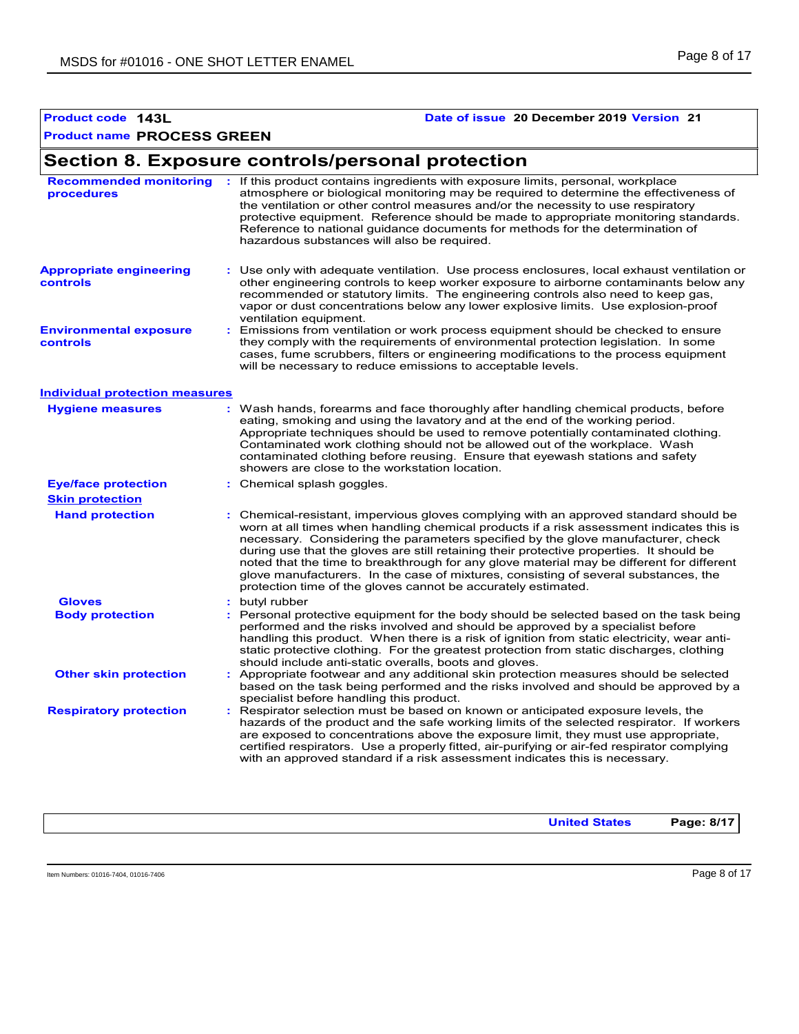#### **Product name PROCESS GREEN**

# **Section 8. Exposure controls/personal protection**

| <b>Recommended monitoring</b><br>procedures      | : If this product contains ingredients with exposure limits, personal, workplace<br>atmosphere or biological monitoring may be required to determine the effectiveness of<br>the ventilation or other control measures and/or the necessity to use respiratory<br>protective equipment. Reference should be made to appropriate monitoring standards.<br>Reference to national guidance documents for methods for the determination of<br>hazardous substances will also be required.                                                                                                                                  |
|--------------------------------------------------|------------------------------------------------------------------------------------------------------------------------------------------------------------------------------------------------------------------------------------------------------------------------------------------------------------------------------------------------------------------------------------------------------------------------------------------------------------------------------------------------------------------------------------------------------------------------------------------------------------------------|
| <b>Appropriate engineering</b><br>controls       | : Use only with adequate ventilation. Use process enclosures, local exhaust ventilation or<br>other engineering controls to keep worker exposure to airborne contaminants below any<br>recommended or statutory limits. The engineering controls also need to keep gas,<br>vapor or dust concentrations below any lower explosive limits. Use explosion-proof<br>ventilation equipment.                                                                                                                                                                                                                                |
| <b>Environmental exposure</b><br><b>controls</b> | Emissions from ventilation or work process equipment should be checked to ensure<br>they comply with the requirements of environmental protection legislation. In some<br>cases, fume scrubbers, filters or engineering modifications to the process equipment<br>will be necessary to reduce emissions to acceptable levels.                                                                                                                                                                                                                                                                                          |
| Individual protection measures                   |                                                                                                                                                                                                                                                                                                                                                                                                                                                                                                                                                                                                                        |
| <b>Hygiene measures</b>                          | : Wash hands, forearms and face thoroughly after handling chemical products, before<br>eating, smoking and using the lavatory and at the end of the working period.<br>Appropriate techniques should be used to remove potentially contaminated clothing.<br>Contaminated work clothing should not be allowed out of the workplace. Wash<br>contaminated clothing before reusing. Ensure that eyewash stations and safety<br>showers are close to the workstation location.                                                                                                                                            |
| <b>Eye/face protection</b>                       | : Chemical splash goggles.                                                                                                                                                                                                                                                                                                                                                                                                                                                                                                                                                                                             |
| <b>Skin protection</b>                           |                                                                                                                                                                                                                                                                                                                                                                                                                                                                                                                                                                                                                        |
| <b>Hand protection</b>                           | : Chemical-resistant, impervious gloves complying with an approved standard should be<br>worn at all times when handling chemical products if a risk assessment indicates this is<br>necessary. Considering the parameters specified by the glove manufacturer, check<br>during use that the gloves are still retaining their protective properties. It should be<br>noted that the time to breakthrough for any glove material may be different for different<br>glove manufacturers. In the case of mixtures, consisting of several substances, the<br>protection time of the gloves cannot be accurately estimated. |
| <b>Gloves</b>                                    | butyl rubber                                                                                                                                                                                                                                                                                                                                                                                                                                                                                                                                                                                                           |
| <b>Body protection</b>                           | Personal protective equipment for the body should be selected based on the task being<br>performed and the risks involved and should be approved by a specialist before<br>handling this product. When there is a risk of ignition from static electricity, wear anti-<br>static protective clothing. For the greatest protection from static discharges, clothing<br>should include anti-static overalls, boots and gloves.                                                                                                                                                                                           |
| <b>Other skin protection</b>                     | Appropriate footwear and any additional skin protection measures should be selected<br>based on the task being performed and the risks involved and should be approved by a<br>specialist before handling this product.                                                                                                                                                                                                                                                                                                                                                                                                |
| <b>Respiratory protection</b>                    | Respirator selection must be based on known or anticipated exposure levels, the<br>hazards of the product and the safe working limits of the selected respirator. If workers<br>are exposed to concentrations above the exposure limit, they must use appropriate,<br>certified respirators. Use a properly fitted, air-purifying or air-fed respirator complying<br>with an approved standard if a risk assessment indicates this is necessary.                                                                                                                                                                       |

**United States Page: 8/17**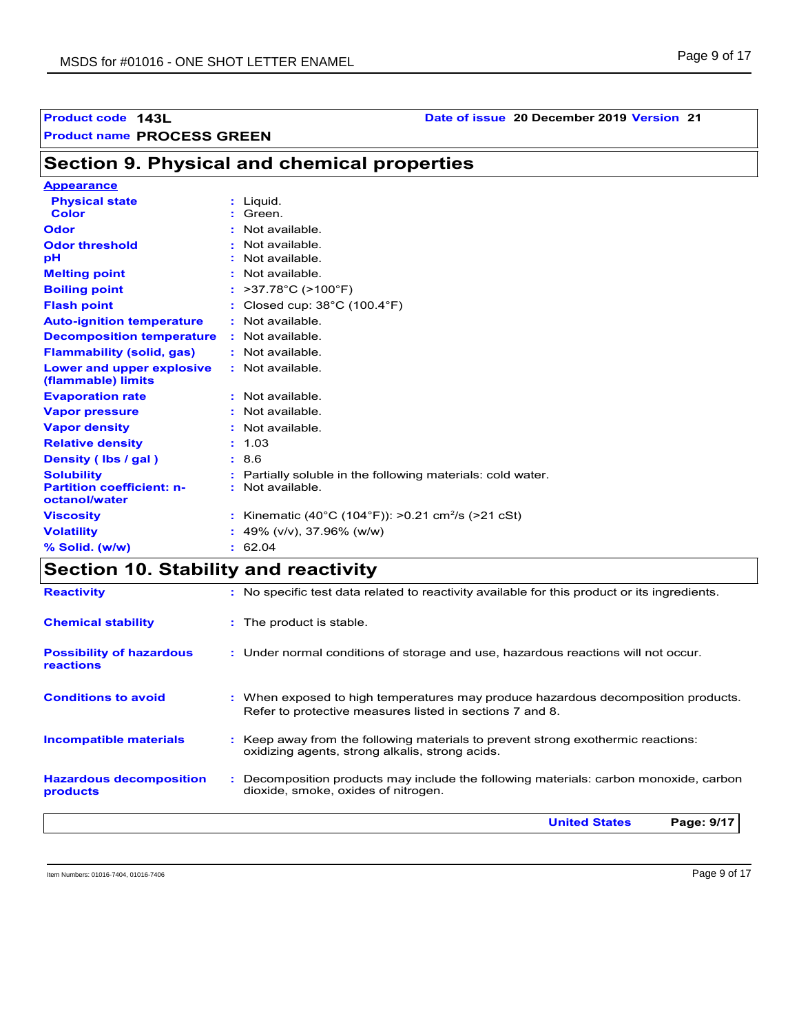## **Product code 143L Date of issue 20 December 2019 Version 21**

| <b>Section 9. Physical and chemical properties</b> |  |
|----------------------------------------------------|--|
| Annosrance                                         |  |

| <b>Appearance</b>                                 |                                                                |
|---------------------------------------------------|----------------------------------------------------------------|
| <b>Physical state</b>                             | : Liquid.                                                      |
| <b>Color</b>                                      | : Green.                                                       |
| Odor                                              | Not available                                                  |
| <b>Odor threshold</b>                             | Not available.                                                 |
| рH                                                | Not available.                                                 |
| <b>Melting point</b>                              | $:$ Not available                                              |
| <b>Boiling point</b>                              | : $>37.78^{\circ}$ C ( $>100^{\circ}$ F)                       |
| <b>Flash point</b>                                | Closed cup: $38^{\circ}$ C (100.4 $^{\circ}$ F)                |
| <b>Auto-ignition temperature</b>                  | : Not available.                                               |
| <b>Decomposition temperature</b>                  | Not available.                                                 |
| <b>Flammability (solid, gas)</b>                  | : Not available.                                               |
| Lower and upper explosive<br>(flammable) limits   | : Not available.                                               |
| <b>Evaporation rate</b>                           | : Not available.                                               |
| <b>Vapor pressure</b>                             | $:$ Not available.                                             |
| <b>Vapor density</b>                              | Not available.                                                 |
| <b>Relative density</b>                           | : 1.03                                                         |
| Density (Ibs / gal)                               | : 8.6                                                          |
| <b>Solubility</b>                                 | Partially soluble in the following materials: cold water.      |
| <b>Partition coefficient: n-</b><br>octanol/water | Not available.<br>÷.                                           |
| <b>Viscosity</b>                                  | : Kinematic (40°C (104°F)): >0.21 cm <sup>2</sup> /s (>21 cSt) |
| <b>Volatility</b>                                 | : 49% (v/v), 37.96% (w/w)                                      |
| % Solid. (w/w)                                    | : 62.04                                                        |

## **Section 10. Stability and reactivity**

|                                              | Page: 9/17<br><b>United States</b>                                                                                                            |
|----------------------------------------------|-----------------------------------------------------------------------------------------------------------------------------------------------|
| <b>Hazardous decomposition</b><br>products   | : Decomposition products may include the following materials: carbon monoxide, carbon<br>dioxide, smoke, oxides of nitrogen.                  |
| <b>Incompatible materials</b>                | : Keep away from the following materials to prevent strong exothermic reactions:<br>oxidizing agents, strong alkalis, strong acids.           |
| <b>Conditions to avoid</b>                   | : When exposed to high temperatures may produce hazardous decomposition products.<br>Refer to protective measures listed in sections 7 and 8. |
| <b>Possibility of hazardous</b><br>reactions | : Under normal conditions of storage and use, hazardous reactions will not occur.                                                             |
| <b>Chemical stability</b>                    | : The product is stable.                                                                                                                      |
| <b>Reactivity</b>                            | : No specific test data related to reactivity available for this product or its ingredients.                                                  |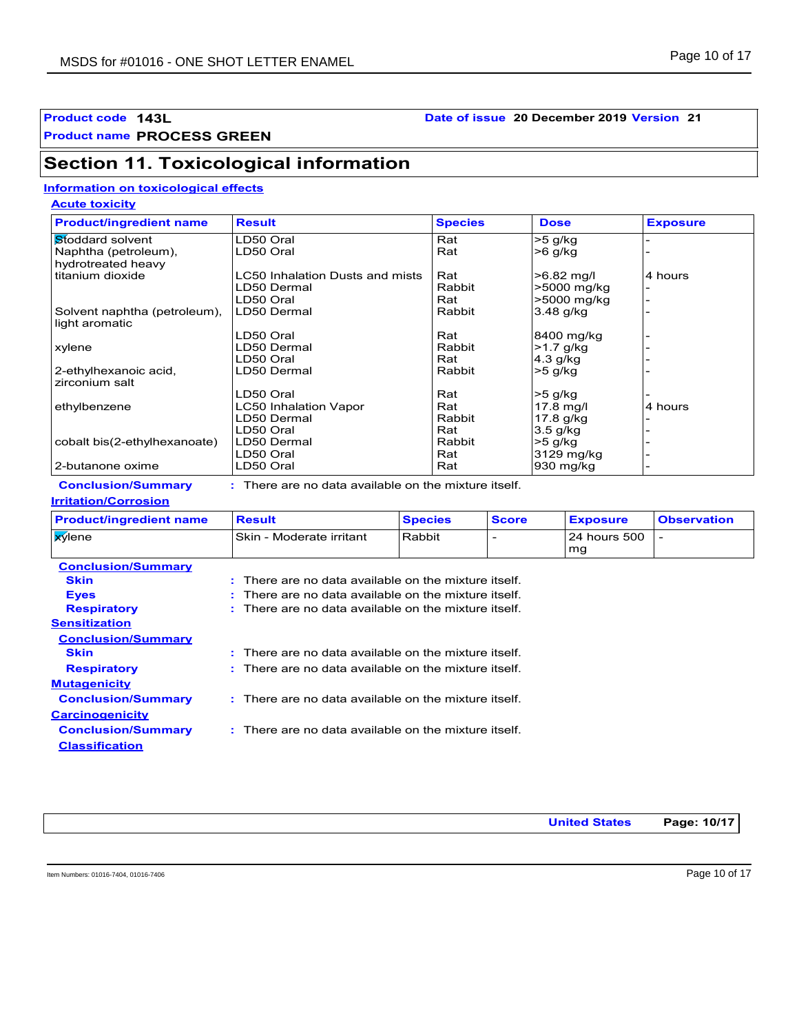**Product name PROCESS GREEN**

## **Section 11. Toxicological information**

#### **Information on toxicological effects**

**Acute toxicity**

| <b>Product/ingredient name</b> | <b>Result</b>                                        | <b>Species</b> | <b>Dose</b>  | <b>Exposure</b> |
|--------------------------------|------------------------------------------------------|----------------|--------------|-----------------|
| Stoddard solvent               | LD50 Oral                                            | Rat            | $>5$ g/kg    |                 |
| Naphtha (petroleum),           | LD50 Oral                                            | Rat            | $>6$ g/kg    |                 |
| hydrotreated heavy             |                                                      |                |              |                 |
| titanium dioxide               | LC50 Inhalation Dusts and mists                      | Rat            | $>6.82$ mg/l | 4 hours         |
|                                | LD50 Dermal                                          | Rabbit         | >5000 mg/kg  |                 |
|                                | LD50 Oral                                            | Rat            | >5000 mg/kg  |                 |
| Solvent naphtha (petroleum),   | LD50 Dermal                                          | Rabbit         | $3.48$ g/kg  |                 |
| light aromatic                 |                                                      |                |              |                 |
|                                | LD50 Oral                                            | Rat            | 8400 mg/kg   |                 |
| xylene                         | LD50 Dermal                                          | Rabbit         | $>1.7$ g/kg  |                 |
|                                | LD50 Oral                                            | Rat            | 4.3 g/kg     |                 |
| 2-ethylhexanoic acid,          | LD50 Dermal                                          | Rabbit         | $>5$ g/kg    |                 |
| zirconium salt                 |                                                      |                |              |                 |
|                                | LD50 Oral                                            | Rat            | $>5$ g/kg    |                 |
| ethylbenzene                   | LC50 Inhalation Vapor                                | Rat            | $17.8$ mg/l  | 4 hours         |
|                                | LD50 Dermal                                          | Rabbit         | 17.8 g/kg    |                 |
|                                | LD50 Oral                                            | Rat            | $3.5$ g/kg   |                 |
| cobalt bis(2-ethylhexanoate)   | LD50 Dermal                                          | Rabbit         | $>5$ g/kg    |                 |
|                                | LD50 Oral                                            | Rat            | 3129 mg/kg   |                 |
| 2-butanone oxime               | LD50 Oral                                            | Rat            | 930 mg/kg    |                 |
| <b>Conclusion/Summary</b>      | : There are no data available on the mixture itself. |                |              |                 |

## **Conclusion/Summary :**

#### **Irritation/Corrosion**

| <b>Product/ingredient name</b>           | <b>Result</b>                                      | <b>Species</b> | <b>Score</b> | <b>Exposure</b>    | <b>Observation</b> |
|------------------------------------------|----------------------------------------------------|----------------|--------------|--------------------|--------------------|
| <b>X</b> ylene                           | <b>Skin - Moderate irritant</b>                    | Rabbit         |              | 24 hours 500<br>mq |                    |
| <b>Conclusion/Summary</b><br><b>Skin</b> | There are no data available on the mixture itself. |                |              |                    |                    |

| <b>Eyes</b>               | $\pm$ There are no data available on the mixture itself.        |
|---------------------------|-----------------------------------------------------------------|
| <b>Respiratory</b>        | $\therefore$ There are no data available on the mixture itself. |
| Sensitization             |                                                                 |
| <b>Conclusion/Summary</b> |                                                                 |
| <b>Skin</b>               | $\pm$ There are no data available on the mixture itself.        |
| <b>Respiratory</b>        | $\pm$ There are no data available on the mixture itself.        |
| <b>Mutagenicity</b>       |                                                                 |
| <b>Conclusion/Summary</b> | : There are no data available on the mixture itself.            |
| <b>Carcinogenicity</b>    |                                                                 |
| <b>Conclusion/Summary</b> | $\therefore$ There are no data available on the mixture itself. |

**United States Page: 10/17**

Item Numbers: 01016-7404, 01016-7406 Page 10 of 17

**Classification**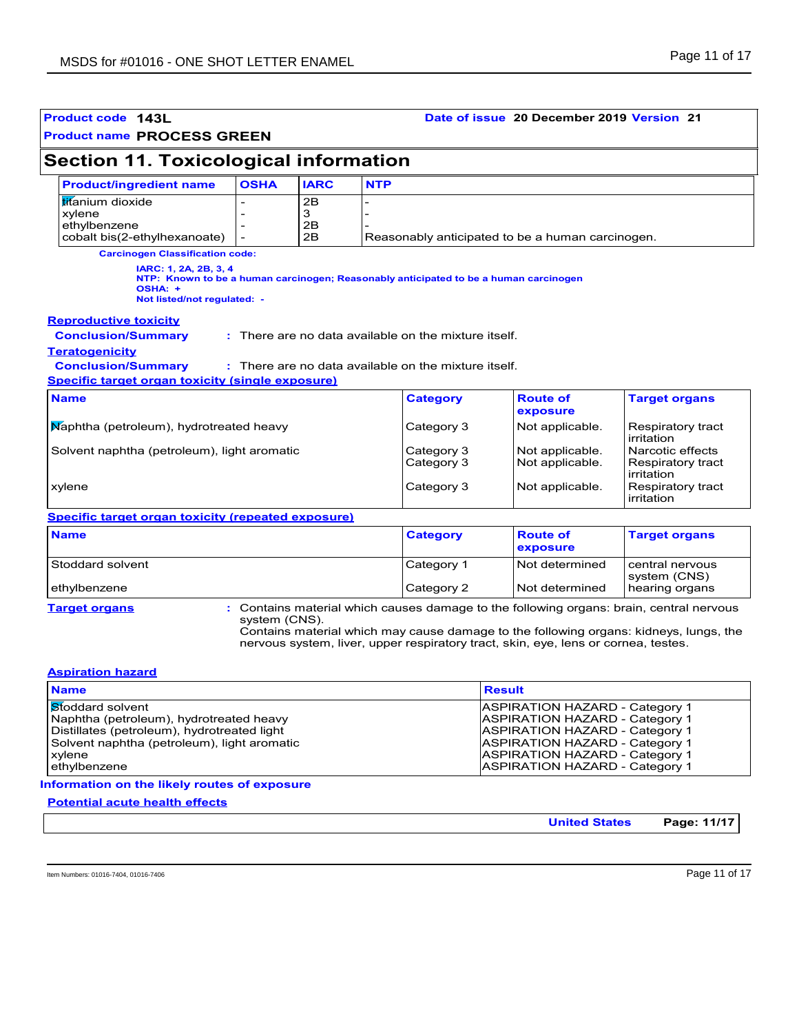| <b>Section 11. Toxicological information</b>                                                                                                                            |                                          |                          |                                                                                      |                                                            |                                                                                         |  |  |  |
|-------------------------------------------------------------------------------------------------------------------------------------------------------------------------|------------------------------------------|--------------------------|--------------------------------------------------------------------------------------|------------------------------------------------------------|-----------------------------------------------------------------------------------------|--|--|--|
| <b>Product/ingredient name</b>                                                                                                                                          | <b>OSHA</b><br><b>IARC</b><br><b>NTP</b> |                          |                                                                                      |                                                            |                                                                                         |  |  |  |
| titanium dioxide<br>2B<br>3<br>xylene<br>2B<br>ethylbenzene<br>2B<br>cobalt bis(2-ethylhexanoate)<br>$\overline{a}$<br>Reasonably anticipated to be a human carcinogen. |                                          |                          |                                                                                      |                                                            |                                                                                         |  |  |  |
| <b>Carcinogen Classification code:</b>                                                                                                                                  |                                          |                          |                                                                                      |                                                            |                                                                                         |  |  |  |
| IARC: 1, 2A, 2B, 3, 4<br>OSHA: +<br>Not listed/not regulated: -                                                                                                         |                                          |                          | NTP: Known to be a human carcinogen; Reasonably anticipated to be a human carcinogen |                                                            |                                                                                         |  |  |  |
| <b>Reproductive toxicity</b><br><b>Conclusion/Summary</b><br><b>Teratogenicity</b>                                                                                      |                                          |                          | : There are no data available on the mixture itself.                                 |                                                            |                                                                                         |  |  |  |
| <b>Conclusion/Summary</b><br>Specific target organ toxicity (single exposure)                                                                                           |                                          |                          | : There are no data available on the mixture itself.                                 |                                                            |                                                                                         |  |  |  |
| <b>Name</b>                                                                                                                                                             |                                          |                          | <b>Category</b>                                                                      | <b>Route of</b><br>exposure                                | <b>Target organs</b>                                                                    |  |  |  |
| Maphtha (petroleum), hydrotreated heavy                                                                                                                                 |                                          |                          | Category 3                                                                           | Not applicable.                                            | Respiratory tract<br>irritation                                                         |  |  |  |
| Solvent naphtha (petroleum), light aromatic                                                                                                                             |                                          | Category 3<br>Category 3 | Not applicable.<br>Not applicable.                                                   | Narcotic effects<br>Respiratory tract<br><i>irritation</i> |                                                                                         |  |  |  |
| xylene                                                                                                                                                                  |                                          |                          | Category 3                                                                           | Not applicable.                                            | Respiratory tract<br>irritation                                                         |  |  |  |
| Specific target organ toxicity (repeated exposure)                                                                                                                      |                                          |                          |                                                                                      |                                                            |                                                                                         |  |  |  |
| <b>Name</b>                                                                                                                                                             |                                          |                          | <b>Category</b>                                                                      | <b>Route of</b><br>exposure                                | <b>Target organs</b>                                                                    |  |  |  |
| Stoddard solvent                                                                                                                                                        |                                          |                          | Category 1                                                                           | Not determined                                             | central nervous<br>system (CNS)                                                         |  |  |  |
|                                                                                                                                                                         |                                          |                          | Category 2                                                                           | Not determined                                             | hearing organs                                                                          |  |  |  |
| ethylbenzene                                                                                                                                                            |                                          |                          |                                                                                      |                                                            | : Contains material which causes damage to the following organs: brain, central nervous |  |  |  |

| <b>Name</b>                                 | <b>Result</b>                         |
|---------------------------------------------|---------------------------------------|
| Stoddard solvent                            | <b>ASPIRATION HAZARD - Category 1</b> |
| Naphtha (petroleum), hydrotreated heavy     | <b>ASPIRATION HAZARD - Category 1</b> |
| Distillates (petroleum), hydrotreated light | <b>ASPIRATION HAZARD - Category 1</b> |
| Solvent naphtha (petroleum), light aromatic | <b>ASPIRATION HAZARD - Category 1</b> |
| xylene                                      | <b>ASPIRATION HAZARD - Category 1</b> |
| ethylbenzene                                | <b>ASPIRATION HAZARD - Category 1</b> |

**Information on the likely routes of exposure**

**Potential acute health effects**

**United States Page: 11/17**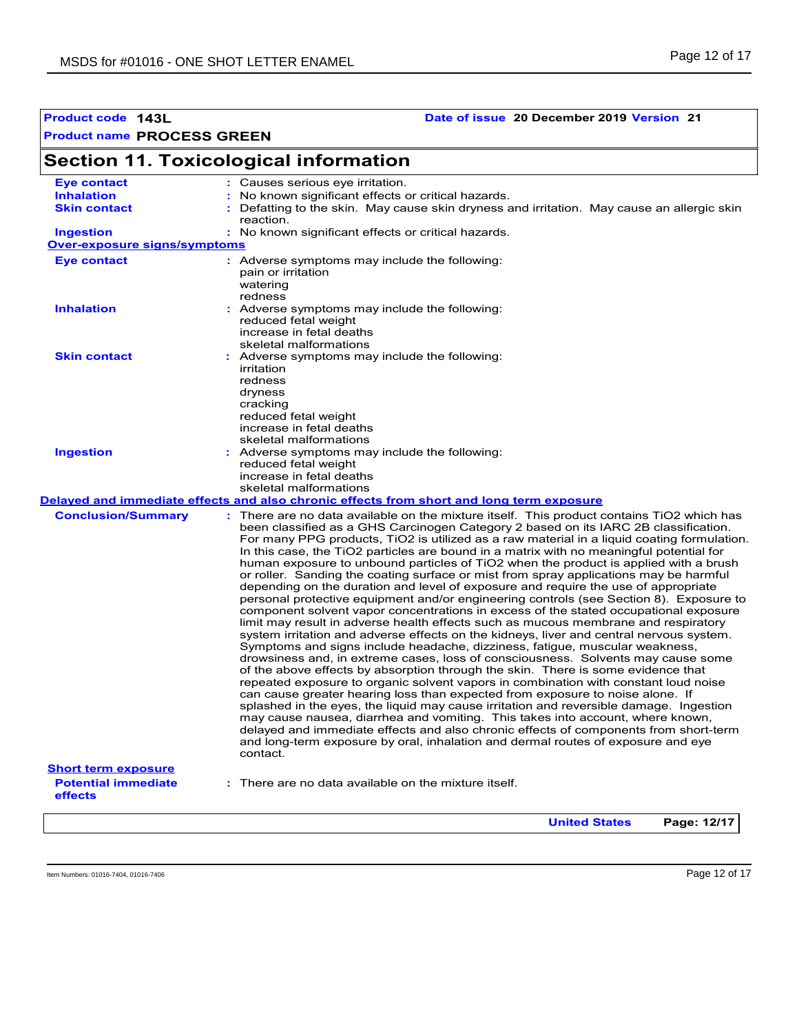### **Product code 143L Date of issue 20 December 2019 Version 21**

# **Section 11. Toxicological information**

| <b>Eye contact</b>                    | Causes serious eye irritation.                                                                                                                                                                                                                                                                                                                                                                                                                                                                                                                                                                                                                                                                                                                                                                                                                                                                                                                                                                                                                                           |
|---------------------------------------|--------------------------------------------------------------------------------------------------------------------------------------------------------------------------------------------------------------------------------------------------------------------------------------------------------------------------------------------------------------------------------------------------------------------------------------------------------------------------------------------------------------------------------------------------------------------------------------------------------------------------------------------------------------------------------------------------------------------------------------------------------------------------------------------------------------------------------------------------------------------------------------------------------------------------------------------------------------------------------------------------------------------------------------------------------------------------|
| <b>Inhalation</b>                     | No known significant effects or critical hazards.                                                                                                                                                                                                                                                                                                                                                                                                                                                                                                                                                                                                                                                                                                                                                                                                                                                                                                                                                                                                                        |
| <b>Skin contact</b>                   | Defatting to the skin. May cause skin dryness and irritation. May cause an allergic skin<br>reaction.                                                                                                                                                                                                                                                                                                                                                                                                                                                                                                                                                                                                                                                                                                                                                                                                                                                                                                                                                                    |
| <b>Ingestion</b>                      | : No known significant effects or critical hazards.                                                                                                                                                                                                                                                                                                                                                                                                                                                                                                                                                                                                                                                                                                                                                                                                                                                                                                                                                                                                                      |
| <b>Over-exposure signs/symptoms</b>   |                                                                                                                                                                                                                                                                                                                                                                                                                                                                                                                                                                                                                                                                                                                                                                                                                                                                                                                                                                                                                                                                          |
| <b>Eye contact</b>                    | : Adverse symptoms may include the following:<br>pain or irritation<br>watering<br>redness                                                                                                                                                                                                                                                                                                                                                                                                                                                                                                                                                                                                                                                                                                                                                                                                                                                                                                                                                                               |
| <b>Inhalation</b>                     | : Adverse symptoms may include the following:<br>reduced fetal weight<br>increase in fetal deaths<br>skeletal malformations                                                                                                                                                                                                                                                                                                                                                                                                                                                                                                                                                                                                                                                                                                                                                                                                                                                                                                                                              |
| <b>Skin contact</b>                   | : Adverse symptoms may include the following:<br>irritation<br>redness<br>dryness<br>cracking<br>reduced fetal weight<br>increase in fetal deaths<br>skeletal malformations                                                                                                                                                                                                                                                                                                                                                                                                                                                                                                                                                                                                                                                                                                                                                                                                                                                                                              |
| <b>Ingestion</b>                      | : Adverse symptoms may include the following:<br>reduced fetal weight<br>increase in fetal deaths<br>skeletal malformations<br>Delayed and immediate effects and also chronic effects from short and long term exposure                                                                                                                                                                                                                                                                                                                                                                                                                                                                                                                                                                                                                                                                                                                                                                                                                                                  |
| <b>Conclusion/Summary</b>             | There are no data available on the mixture itself. This product contains TiO2 which has<br>been classified as a GHS Carcinogen Category 2 based on its IARC 2B classification.<br>For many PPG products, TiO2 is utilized as a raw material in a liquid coating formulation.<br>In this case, the TiO2 particles are bound in a matrix with no meaningful potential for<br>human exposure to unbound particles of TiO2 when the product is applied with a brush<br>or roller. Sanding the coating surface or mist from spray applications may be harmful<br>depending on the duration and level of exposure and require the use of appropriate<br>personal protective equipment and/or engineering controls (see Section 8). Exposure to                                                                                                                                                                                                                                                                                                                                 |
|                                       | component solvent vapor concentrations in excess of the stated occupational exposure<br>limit may result in adverse health effects such as mucous membrane and respiratory<br>system irritation and adverse effects on the kidneys, liver and central nervous system.<br>Symptoms and signs include headache, dizziness, fatigue, muscular weakness,<br>drowsiness and, in extreme cases, loss of consciousness. Solvents may cause some<br>of the above effects by absorption through the skin. There is some evidence that<br>repeated exposure to organic solvent vapors in combination with constant loud noise<br>can cause greater hearing loss than expected from exposure to noise alone. If<br>splashed in the eyes, the liquid may cause irritation and reversible damage. Ingestion<br>may cause nausea, diarrhea and vomiting. This takes into account, where known,<br>delayed and immediate effects and also chronic effects of components from short-term<br>and long-term exposure by oral, inhalation and dermal routes of exposure and eye<br>contact. |
| <b>Short term exposure</b>            |                                                                                                                                                                                                                                                                                                                                                                                                                                                                                                                                                                                                                                                                                                                                                                                                                                                                                                                                                                                                                                                                          |
| <b>Potential immediate</b><br>effects | : There are no data available on the mixture itself.                                                                                                                                                                                                                                                                                                                                                                                                                                                                                                                                                                                                                                                                                                                                                                                                                                                                                                                                                                                                                     |
|                                       | Page: 12/17<br><b>United States</b>                                                                                                                                                                                                                                                                                                                                                                                                                                                                                                                                                                                                                                                                                                                                                                                                                                                                                                                                                                                                                                      |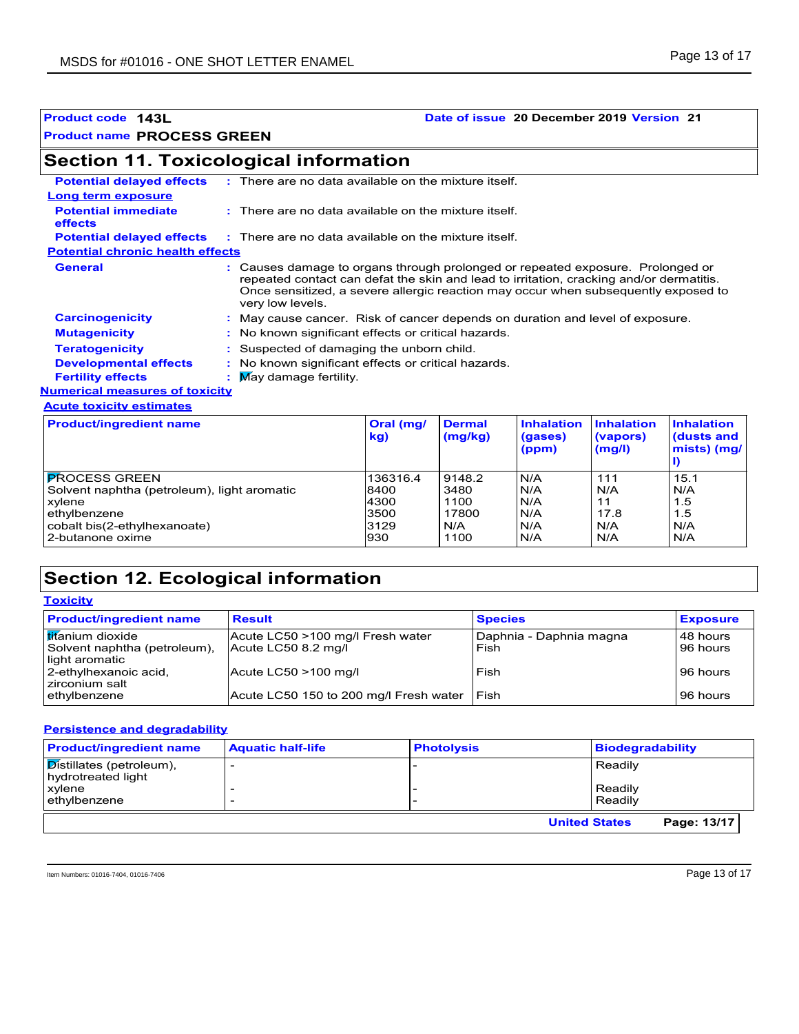### **Product code 143L Date of issue 20 December 2019 Version 21**

## **Section 11. Toxicological information**

| <b>Potential delayed effects</b>             | $\therefore$ There are no data available on the mixture itself.                                                                                                                                                                                                                   |                                                                                       |                          |                                     |                                                       |                                           |  |
|----------------------------------------------|-----------------------------------------------------------------------------------------------------------------------------------------------------------------------------------------------------------------------------------------------------------------------------------|---------------------------------------------------------------------------------------|--------------------------|-------------------------------------|-------------------------------------------------------|-------------------------------------------|--|
| Long term exposure                           |                                                                                                                                                                                                                                                                                   |                                                                                       |                          |                                     |                                                       |                                           |  |
| <b>Potential immediate</b><br><b>effects</b> |                                                                                                                                                                                                                                                                                   | $\therefore$ There are no data available on the mixture itself.                       |                          |                                     |                                                       |                                           |  |
|                                              |                                                                                                                                                                                                                                                                                   | <b>Potential delayed effects</b> : There are no data available on the mixture itself. |                          |                                     |                                                       |                                           |  |
| <b>Potential chronic health effects</b>      |                                                                                                                                                                                                                                                                                   |                                                                                       |                          |                                     |                                                       |                                           |  |
| <b>General</b>                               | Causes damage to organs through prolonged or repeated exposure. Prolonged or<br>repeated contact can defat the skin and lead to irritation, cracking and/or dermatitis.<br>Once sensitized, a severe allergic reaction may occur when subsequently exposed to<br>very low levels. |                                                                                       |                          |                                     |                                                       |                                           |  |
| <b>Carcinogenicity</b>                       |                                                                                                                                                                                                                                                                                   | : May cause cancer. Risk of cancer depends on duration and level of exposure.         |                          |                                     |                                                       |                                           |  |
| <b>Mutagenicity</b>                          |                                                                                                                                                                                                                                                                                   | : No known significant effects or critical hazards.                                   |                          |                                     |                                                       |                                           |  |
| <b>Teratogenicity</b>                        |                                                                                                                                                                                                                                                                                   | : Suspected of damaging the unborn child.                                             |                          |                                     |                                                       |                                           |  |
| <b>Developmental effects</b>                 |                                                                                                                                                                                                                                                                                   | : No known significant effects or critical hazards.                                   |                          |                                     |                                                       |                                           |  |
| <b>Fertility effects</b>                     | $\mathbf{M}$ May damage fertility.                                                                                                                                                                                                                                                |                                                                                       |                          |                                     |                                                       |                                           |  |
| <b>Numerical measures of toxicity</b>        |                                                                                                                                                                                                                                                                                   |                                                                                       |                          |                                     |                                                       |                                           |  |
| <b>Acute toxicity estimates</b>              |                                                                                                                                                                                                                                                                                   |                                                                                       |                          |                                     |                                                       |                                           |  |
| <b>Product/ingredient name</b>               |                                                                                                                                                                                                                                                                                   | Oral (mg/<br>kg)                                                                      | <b>Dermal</b><br>(mg/kg) | <b>Inhalation</b><br>(gases)<br>lmm | <b>Inhalation</b><br>(vapors)<br>$\sqrt{m} \approx 1$ | <b>Inhalation</b><br>(dusts and<br>min[1] |  |

|                                             | kg)      | (mg/kg) | (gases)<br>(ppm) | (vapors)<br>(mg/l) | dusts and<br>$mists)$ (mg/ |
|---------------------------------------------|----------|---------|------------------|--------------------|----------------------------|
| IPROCESS GREEN                              | 136316.4 | 9148.2  | N/A              | 111                | 15.1                       |
| Solvent naphtha (petroleum), light aromatic | 8400     | 3480    | N/A              | N/A                | N/A                        |
| xylene                                      | 4300     | 1100    | N/A              | 11                 | 1.5                        |
| ethylbenzene                                | 3500     | 17800   | N/A              | 17.8               | 1.5                        |
| cobalt bis(2-ethylhexanoate)                | 3129     | N/A     | N/A              | N/A                | N/A                        |
| 2-butanone oxime                            | 930      | 1100    | N/A              | N/A                | N/A                        |

## **Section 12. Ecological information**

| <b>Toxicity</b>                                                            |                                                         |                                 |                      |  |
|----------------------------------------------------------------------------|---------------------------------------------------------|---------------------------------|----------------------|--|
| <b>Product/ingredient name</b>                                             | <b>Result</b>                                           | <b>Species</b>                  | <b>Exposure</b>      |  |
| <b>Itifanium</b> dioxide<br>Solvent naphtha (petroleum),<br>light aromatic | Acute LC50 >100 mg/l Fresh water<br>Acute LC50 8.2 mg/l | Daphnia - Daphnia magna<br>Fish | 48 hours<br>96 hours |  |
| 2-ethylhexanoic acid,<br>zirconium salt                                    | Acute LC50 >100 mg/l                                    | Fish                            | 96 hours             |  |
| ethylbenzene                                                               | Acute LC50 150 to 200 mg/l Fresh water                  | Fish                            | 96 hours             |  |

#### **Persistence and degradability**

| <b>Product/ingredient name</b>                 | <b>Aquatic half-life</b> | <b>Photolysis</b> | <b>Biodegradability</b>             |
|------------------------------------------------|--------------------------|-------------------|-------------------------------------|
| Distillates (petroleum),<br>hydrotreated light |                          |                   | Readily                             |
| <b>xylene</b><br>ethylbenzene                  |                          |                   | Readily<br>Readily                  |
|                                                |                          |                   | Page: 13/17<br><b>United States</b> |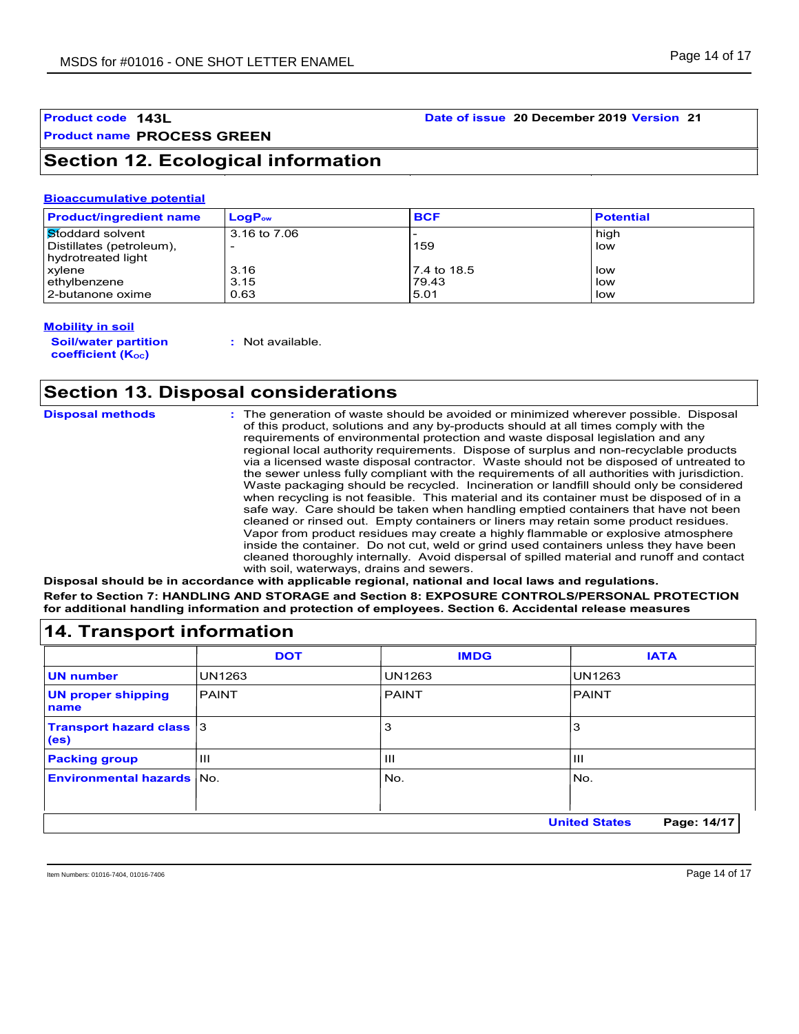# **Product name PROCESS GREEN**

## **Section 12. Ecological information**

#### **Bioaccumulative potential**

| <b>Product/ingredient name</b> | $LogP_{ow}$  | <b>BCF</b>  | <b>Potential</b> |
|--------------------------------|--------------|-------------|------------------|
| Stoddard solvent               | 3.16 to 7.06 |             | high             |
| Distillates (petroleum),       |              | 159         | low              |
| hydrotreated light             |              |             |                  |
| xylene                         | 3.16         | 7.4 to 18.5 | low              |
| ethylbenzene                   | 3.15         | 79.43       | low              |
| 2-butanone oxime               | 0.63         | 5.01        | low              |

#### **Mobility in soil**

**Soil/water partition coefficient (KOC)**

**:** Not available.

## **Section 13. Disposal considerations**

| <b>Disposal methods</b> | : The generation of waste should be avoided or minimized wherever possible. Disposal<br>of this product, solutions and any by-products should at all times comply with the<br>requirements of environmental protection and waste disposal legislation and any<br>regional local authority requirements. Dispose of surplus and non-recyclable products<br>via a licensed waste disposal contractor. Waste should not be disposed of untreated to<br>the sewer unless fully compliant with the requirements of all authorities with jurisdiction.<br>Waste packaging should be recycled. Incineration or landfill should only be considered<br>when recycling is not feasible. This material and its container must be disposed of in a<br>safe way. Care should be taken when handling emptied containers that have not been<br>cleaned or rinsed out. Empty containers or liners may retain some product residues.<br>Vapor from product residues may create a highly flammable or explosive atmosphere<br>inside the container. Do not cut, weld or grind used containers unless they have been<br>cleaned thoroughly internally. Avoid dispersal of spilled material and runoff and contact<br>with soil, waterways, drains and sewers. |
|-------------------------|--------------------------------------------------------------------------------------------------------------------------------------------------------------------------------------------------------------------------------------------------------------------------------------------------------------------------------------------------------------------------------------------------------------------------------------------------------------------------------------------------------------------------------------------------------------------------------------------------------------------------------------------------------------------------------------------------------------------------------------------------------------------------------------------------------------------------------------------------------------------------------------------------------------------------------------------------------------------------------------------------------------------------------------------------------------------------------------------------------------------------------------------------------------------------------------------------------------------------------------------|
|                         |                                                                                                                                                                                                                                                                                                                                                                                                                                                                                                                                                                                                                                                                                                                                                                                                                                                                                                                                                                                                                                                                                                                                                                                                                                            |

**Disposal should be in accordance with applicable regional, national and local laws and regulations. Refer to Section 7: HANDLING AND STORAGE and Section 8: EXPOSURE CONTROLS/PERSONAL PROTECTION for additional handling information and protection of employees. Section 6. Accidental release measures**

|                                         | <b>DOT</b>    | <b>IMDG</b>   | <b>IATA</b>   |
|-----------------------------------------|---------------|---------------|---------------|
| <b>UN number</b>                        | <b>UN1263</b> | <b>UN1263</b> | <b>UN1263</b> |
| <b>UN proper shipping</b><br>name       | <b>PAINT</b>  | <b>PAINT</b>  | PAINT         |
| <b>Transport hazard class 3</b><br>(es) |               | 3             | 3             |
| <b>Packing group</b>                    | $\mathbf{H}$  | Ш             | Ш             |
| <b>Environmental hazards No.</b>        |               | No.           | No.           |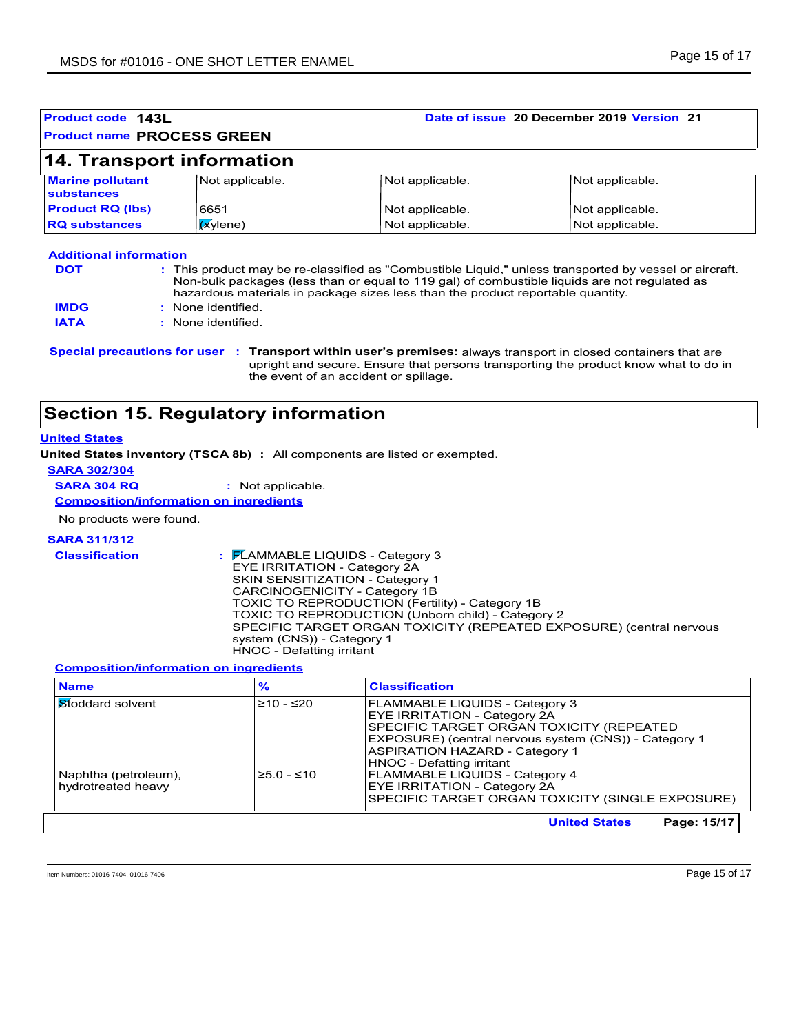|                                       | Product code 143L<br><b>Product name PROCESS GREEN</b> | Date of issue 20 December 2019 Version 21                                                     |                 |  |
|---------------------------------------|--------------------------------------------------------|-----------------------------------------------------------------------------------------------|-----------------|--|
|                                       | <b>14. Transport information</b>                       |                                                                                               |                 |  |
| <b>Marine pollutant</b><br>substances | Not applicable.                                        | Not applicable.                                                                               | Not applicable. |  |
| <b>Product RQ (lbs)</b>               | 6651                                                   | Not applicable.                                                                               | Not applicable. |  |
| <b>RQ substances</b>                  | $x$ ylene)                                             | Not applicable.                                                                               | Not applicable. |  |
|                                       |                                                        | Non-bulk packages (less than or equal to 119 gal) of combustible liquids are not regulated as |                 |  |
| <b>IMDG</b>                           | : None identified.                                     | hazardous materials in package sizes less than the product reportable quantity.               |                 |  |
| <b>IATA</b>                           | : None identified                                      |                                                                                               |                 |  |

## **Section 15. Regulatory information**

#### **United States**

**United States inventory (TSCA 8b) :** All components are listed or exempted.

**SARA 302/304**

**SARA 304 RQ :** Not applicable.

**Composition/information on ingredients**

No products were found.

#### **SARA 311/312**

**Classification :** FLAMMABLE LIQUIDS - Category 3 EYE IRRITATION - Category 2A SKIN SENSITIZATION - Category 1 CARCINOGENICITY - Category 1B TOXIC TO REPRODUCTION (Fertility) - Category 1B TOXIC TO REPRODUCTION (Unborn child) - Category 2 SPECIFIC TARGET ORGAN TOXICITY (REPEATED EXPOSURE) (central nervous system (CNS)) - Category 1 HNOC - Defatting irritant

#### **Composition/information on ingredients**

| <b>Name</b>                                | $\frac{9}{6}$ | <b>Classification</b>                                                                                                                                                                                                      |
|--------------------------------------------|---------------|----------------------------------------------------------------------------------------------------------------------------------------------------------------------------------------------------------------------------|
| <b>Stoddard solvent</b>                    | $≥10 - ≤20$   | <b>FLAMMABLE LIQUIDS - Category 3</b><br><b>EYE IRRITATION - Category 2A</b><br>SPECIFIC TARGET ORGAN TOXICITY (REPEATED<br>EXPOSURE) (central nervous system (CNS)) - Category 1<br><b>ASPIRATION HAZARD - Category 1</b> |
| Naphtha (petroleum),<br>hydrotreated heavy | $≥5.0 - ≤10$  | <b>HNOC - Defatting irritant</b><br><b>FLAMMABLE LIQUIDS - Category 4</b><br><b>EYE IRRITATION - Category 2A</b><br>SPECIFIC TARGET ORGAN TOXICITY (SINGLE EXPOSURE)                                                       |
|                                            |               | <b>United States</b><br>Page: 15/17                                                                                                                                                                                        |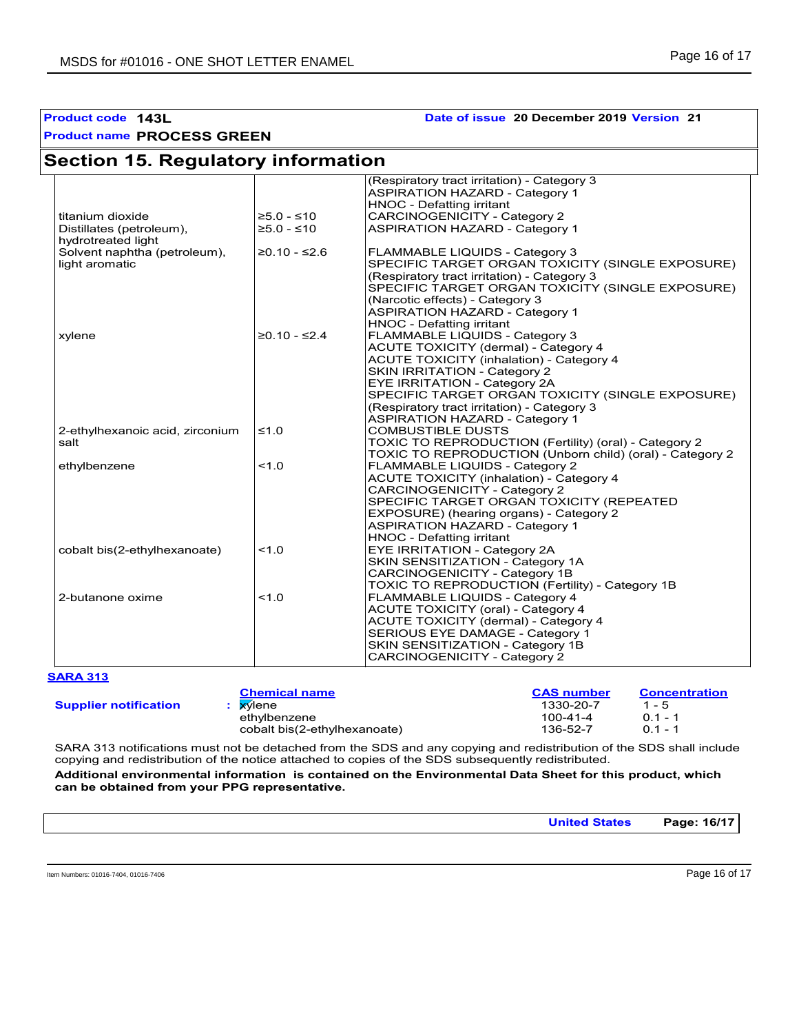### **Product code 143L Date of issue 20 December 2019 Version 21**

| <b>Section 15. Regulatory information</b> |                |                                                          |
|-------------------------------------------|----------------|----------------------------------------------------------|
|                                           |                | (Respiratory tract irritation) - Category 3              |
|                                           |                | <b>ASPIRATION HAZARD - Category 1</b>                    |
|                                           |                | <b>HNOC - Defatting irritant</b>                         |
| titanium dioxide                          | $≥5.0 - ≤10$   | <b>CARCINOGENICITY - Category 2</b>                      |
| Distillates (petroleum),                  | $≥5.0 - ≤10$   | <b>ASPIRATION HAZARD - Category 1</b>                    |
| hydrotreated light                        |                |                                                          |
| Solvent naphtha (petroleum),              | $≥0.10 - ≤2.6$ | FLAMMABLE LIQUIDS - Category 3                           |
| light aromatic                            |                | SPECIFIC TARGET ORGAN TOXICITY (SINGLE EXPOSURE)         |
|                                           |                | (Respiratory tract irritation) - Category 3              |
|                                           |                | SPECIFIC TARGET ORGAN TOXICITY (SINGLE EXPOSURE)         |
|                                           |                | (Narcotic effects) - Category 3                          |
|                                           |                | <b>ASPIRATION HAZARD - Category 1</b>                    |
|                                           |                | <b>HNOC - Defatting irritant</b>                         |
| xylene                                    | $≥0.10 - ≤2.4$ | FLAMMABLE LIQUIDS - Category 3                           |
|                                           |                | <b>ACUTE TOXICITY (dermal) - Category 4</b>              |
|                                           |                | <b>ACUTE TOXICITY (inhalation) - Category 4</b>          |
|                                           |                | <b>SKIN IRRITATION - Category 2</b>                      |
|                                           |                | EYE IRRITATION - Category 2A                             |
|                                           |                | SPECIFIC TARGET ORGAN TOXICITY (SINGLE EXPOSURE)         |
|                                           |                | (Respiratory tract irritation) - Category 3              |
|                                           |                | <b>ASPIRATION HAZARD - Category 1</b>                    |
| 2-ethylhexanoic acid, zirconium           | $\leq 1.0$     | COMBUSTIBLE DUSTS                                        |
| salt                                      |                | TOXIC TO REPRODUCTION (Fertility) (oral) - Category 2    |
|                                           |                | TOXIC TO REPRODUCTION (Unborn child) (oral) - Category 2 |
| ethylbenzene                              | 1.0            | FLAMMABLE LIQUIDS - Category 2                           |
|                                           |                | <b>ACUTE TOXICITY (inhalation) - Category 4</b>          |
|                                           |                | <b>CARCINOGENICITY - Category 2</b>                      |
|                                           |                | SPECIFIC TARGET ORGAN TOXICITY (REPEATED                 |
|                                           |                | EXPOSURE) (hearing organs) - Category 2                  |
|                                           |                | <b>ASPIRATION HAZARD - Category 1</b>                    |
|                                           |                | <b>HNOC - Defatting irritant</b>                         |
| cobalt bis(2-ethylhexanoate)              | 1.0            | EYE IRRITATION - Category 2A                             |
|                                           |                | SKIN SENSITIZATION - Category 1A                         |
|                                           |                | CARCINOGENICITY - Category 1B                            |
|                                           |                | TOXIC TO REPRODUCTION (Fertility) - Category 1B          |
| 2-butanone oxime                          | 1.0            | FLAMMABLE LIQUIDS - Category 4                           |
|                                           |                | <b>ACUTE TOXICITY (oral) - Category 4</b>                |
|                                           |                | ACUTE TOXICITY (dermal) - Category 4                     |
|                                           |                | SERIOUS EYE DAMAGE - Category 1                          |
|                                           |                | SKIN SENSITIZATION - Category 1B                         |
|                                           |                | <b>CARCINOGENICITY - Category 2</b>                      |

#### **SARA 313**

**Supplier notification**

| <b>Chemical name</b>         | <b>CAS number</b> | <b>Concentration</b> |
|------------------------------|-------------------|----------------------|
| : <b>x</b> viene             | 1330-20-7         | $1 - 5$              |
| ethvlbenzene                 | $100 - 41 - 4$    | $01 - 1$             |
| cobalt bis(2-ethylhexanoate) | 136-52-7          | $01 - 1$             |

SARA 313 notifications must not be detached from the SDS and any copying and redistribution of the SDS shall include copying and redistribution of the notice attached to copies of the SDS subsequently redistributed.

**Additional environmental information is contained on the Environmental Data Sheet for this product, which can be obtained from your PPG representative.**

|--|